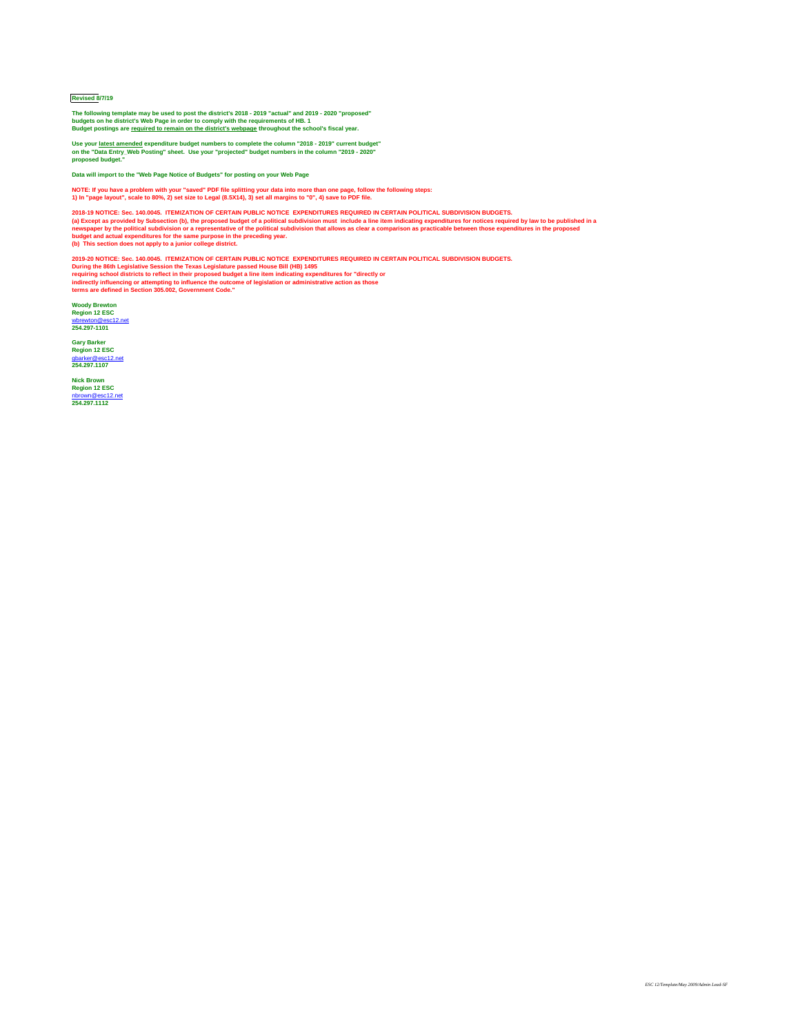## **Revised 8/7/19**

**The following template may be used to post the district's 2018 - 2019 "actual" and 2019 - 2020 "proposed" budgets on he district's Web Page in order to comply with the requirements of HB. 1 Budget postings are required to remain on the district's webpage throughout the school's fiscal year.**

**Use your latest amended expenditure budget numbers to complete the column "2018 - 2019" current budget" on the "Data Entry\_Web Posting" sheet. Use your "projected" budget numbers in the column "2019 - 2020" proposed budget."**

**Data will import to the "Web Page Notice of Budgets" for posting on your Web Page**

**NOTE: If you have a problem with your "saved" PDF file splitting your data into more than one page, follow the following steps: 1) In "page layout", scale to 80%, 2) set size to Legal (8.5X14), 3) set all margins to "0", 4) save to PDF file.**

**2018-19 NOTICE: Sec. 140.0045. ITEMIZATION OF CERTAIN PUBLIC NOTICE EXPENDITURES REQUIRED IN CERTAIN POLITICAL SUBDIVISION BUDGETS. (a) Except as provided by Subsection (b), the proposed budget of a political subdivision must include a line item indicating expenditures for notices required by law to be published in a newspaper by the political subdivision or a representative of the political subdivision that allows as clear a comparison as practicable between those expenditures in the proposed budget and actual expenditures for the same purpose in the preceding year. (b) This section does not apply to a junior college district.**

**2019-20 NOTICE: Sec. 140.0045. ITEMIZATION OF CERTAIN PUBLIC NOTICE EXPENDITURES REQUIRED IN CERTAIN POLITICAL SUBDIVISION BUDGETS. During the 86th Legislative Session the Texas Legislature passed House Bill (HB) 1495 requiring school districts to reflect in their proposed budget a line item indicating expenditures for "directly or indirectly influencing or attempting to influence the outcome of legislation or administrative action as those terms are defined in Section 305.002, Government Code."**

**Woody Brewton Region 12 ESC** [wbrewton@esc12.net](mailto:wbrewton@esc12.net) **254.297-1101**

**Gary Barker Region 12 ESC** [gbarker@esc12.net](mailto:gbarker@esc12.net) **254.297.1107**

**Nick Brown Region 12 ESC** [nbrown@esc12.net](mailto:nbrown@esc12.net) **254.297.1112**

*ESC 12/Template/May 2009/Admin Lead-SF*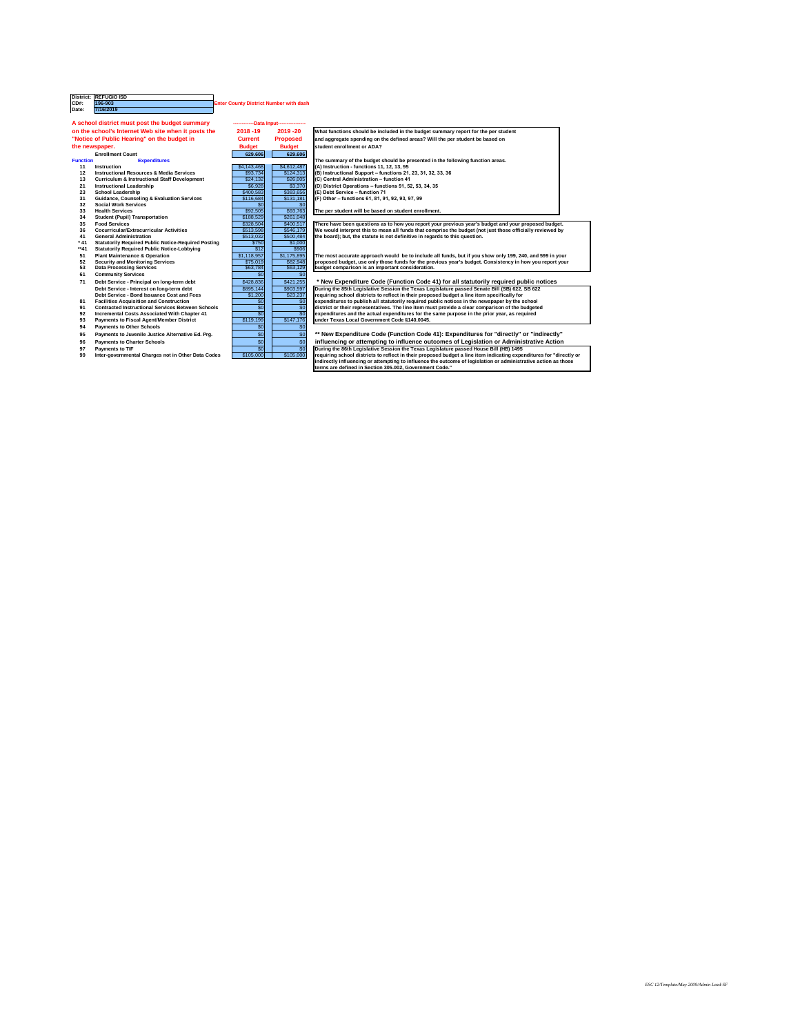|               | District: REFUGIO ISD |                       |
|---------------|-----------------------|-----------------------|
| ICD#:         | 196-903               | <b>Enter County D</b> |
| <b>IDate:</b> | 7/16/2019             |                       |

**Contings in Exercise System** 

## **Enrollment Count 629.606 629.606**

- 
- **12 Instructional Resources & Media Services**<br> **13 Curriculum & Instructional Staff Development** functions 324,132
- **132 Curriculum & Instructional Staff Development** \$24,132<br>Instructional Leadership<br>\$6,928
- **21** Instructional Leadership<br> **23** \$2,928 \$3,370 **(D)** S400,583
- 
- **23 23 School Leadership 8 Evaluation Services 1885 (E) 1883**<br>**31 Guidance, Counseling & Evaluation Services 1886 116,684 31 • Guidance, Counseling & Evaluation Services 32 • Social Work Services**
- **32 Social Work Services**<br> **33 Health Services**<br> **33 Health Services**
- **Health Services**
- **34 Student (Pupil) Transportation 1899 188,529**
- 
- **36 Cocurricular/Extracurricular Activities**  $\overline{\hspace{1cm}}$  **\$513,598**
- **41 General Administration board is not definitive in regard to the statute in regards to the statute in regards to the statute in regards to the statute in regards to the statute in regards to the statute in regards t**
- **the Statutorily Required Public Notice-Required Posting 5750<br>
<b>\*\*41** Statutorily Required Public Notice-Lobbying \$12
- **times 12 Statutorily Required Public Notice-Lobbying**<br> **51** Plant Maintenance & Operation
- **51 Plant Maintenance & Operation**<br> **52 Security and Monitoring Services**<br> **1.118,957 in S75,019**
- **52 Security and Monitoring Services**<br> **53 Data Processing Services**<br> **1882 1984 1986 1986 1997 10:48 1998 1998 1998 10:48 10:48 10:48 10:48 10:48 10:48 10:48 10:48 10:48 10:48 10:48 10:48 10:48 10:48 10:48 10:48 10:48 10: Data Processing Services**
- 
- **61 Community Services**<br> **11** Debt Service Principal on long-term debt<br> **128,836** \$428,836 **71 Debt Service - Principal on long-term debt Debt Service - Interest on long-term debt CELLEN SESS 625,144 Debt Service - Bond Issuance Cost and Fees**  $\qquad \qquad$  \$1,200
- 
- **81 Facilities Acquisition and Construction**<br> **1 expenditures to public notices in the new schools all statute of the school intervals of the school intervals of the school intervals of the school intervals of the sc 91 Contracted Instructional Services Between Schools district or the service of the services comparison of the service of the budgets.** The comparison of the budgeted **with Chapter 41 c** a clear comparison of the
- **Propertive Associated With Chapter 41 expenditures and the actual Expenditures in the actual expenditures in the action of the same purpose in the actual expenditures for the prior year, as required in the prior year, a**
- **93** Payments to Fiscal Agent/Member District
- **94 Payments to Other Schools 1999 1999 1999 1999 1999**
- **95 Payments to Juvenile Justice Alternative Ed. Prg. New Some 41 & Some 41**
- **96 Payments to Charter Schools <b>influence or attemption or Administrative Action** or Administrative Action
- 
- **97 Payments to TIF** \$0 **DURING 1988**<br> **99 During the Bill (Degislative Bill (Degislate Bill (Degislate Bill (B)** 105,000 **99 Inter-governmental Charges not in Other Data Codes**

|                 | A school district must post the budget summary             |                  | ------------Data Input---------------- |                                                                                                                     |
|-----------------|------------------------------------------------------------|------------------|----------------------------------------|---------------------------------------------------------------------------------------------------------------------|
|                 | on the school's Internet Web site when it posts the        | $2018 - 19$      | 2019 - 20                              | What functions should be included in the budget summary report for the per student                                  |
|                 | "Notice of Public Hearing" on the budget in                | <b>Current</b>   | <b>Proposed</b>                        | and aggregate spending on the defined areas? Will the per student be based on                                       |
|                 | the newspaper.                                             | <b>Budget</b>    | <b>Budget</b>                          | student enrollment or ADA?                                                                                          |
|                 | <b>Enrollment Count</b>                                    | 629.606          | 629.606                                |                                                                                                                     |
| <b>Function</b> | <b>Expenditures</b>                                        |                  |                                        | The summary of the budget should be presented in the following function areas.                                      |
| 11              | <b>Instruction</b>                                         | \$4,143,468      | \$4,612,487                            | $(A)$ Instruction - functions 11, 12, 13, 95                                                                        |
| 12              | <b>Instructional Resources &amp; Media Services</b>        | \$93,734         | \$124,313                              | $(B)$ Instructional Support – functions 21, 23, 31, 32, 33, 36                                                      |
| 13              | <b>Curriculum &amp; Instructional Staff Development</b>    | \$24,132         | \$26,005                               | (C) Central Administration - function 41                                                                            |
| 21              | <b>Instructional Leadership</b>                            | \$6,928          | \$3,370                                | $ $ (D) District Operations – functions 51, 52, 53, 34, 35                                                          |
| 23              | <b>School Leadership</b>                                   | \$400,583        | \$383,656                              | (E) Debt Service - function 71                                                                                      |
| 31              | <b>Guidance, Counseling &amp; Evaluation Services</b>      | \$116,684        | \$131,181                              | (F) Other - functions 61, 81, 91, 92, 93, 97, 99                                                                    |
| 32              | <b>Social Work Services</b>                                | $\overline{50}$  | \$0                                    |                                                                                                                     |
| 33              | <b>Health Services</b>                                     | \$92,505         | \$93,763                               | The per student will be based on student enrollment.                                                                |
| 34              | <b>Student (Pupil) Transportation</b>                      | \$188,529        | \$261,048                              |                                                                                                                     |
| 35              | <b>Food Services</b>                                       | \$328,504        | \$400,517                              | There have been questions as to how you report your previous year's budget and your proposed budget.                |
| 36              | <b>Cocurricular/Extracurricular Activities</b>             | \$513,598        | \$546,179                              | We would interpret this to mean all funds that comprise the budget (not just those officially reviewed by           |
| 41              | <b>General Administration</b>                              | \$513,032        | \$500,484                              | the board); but, the statute is not definitive in regards to this question.                                         |
| $*41$           | <b>Statutorily Required Public Notice-Required Posting</b> | \$750            | \$1,000                                |                                                                                                                     |
| $**41$          | <b>Statutorily Required Public Notice-Lobbying</b>         | $\overline{$12}$ | \$906                                  |                                                                                                                     |
| 51              | <b>Plant Maintenance &amp; Operation</b>                   | \$1,118,957      | \$1,175,895                            | The most accurate approach would be to include all funds, but if you show only 199, 240, and 599 in your            |
| 52              | <b>Security and Monitoring Services</b>                    | \$75,019         | \$82,948                               | proposed budget, use only those funds for the previous year's budget. Consistency in how you report your            |
| 53              | <b>Data Processing Services</b>                            | \$63,784         | \$63,129                               | budget comparison is an important consideration.                                                                    |
| 61              | <b>Community Services</b>                                  | $\sqrt{50}$      | $\overline{60}$                        |                                                                                                                     |
| 71              | Debt Service - Principal on long-term debt                 | \$428,836        | \$421,255                              | * New Expenditure Code (Function Code 41) for all statutorily required public notices                               |
|                 | Debt Service - Interest on long-term debt                  | \$895,144        | \$903,597                              | During the 85th Legislative Session the Texas Legislature passed Senate Bill (SB) 622. SB 622                       |
|                 | <b>Debt Service - Bond Issuance Cost and Fees</b>          | \$1,200          | \$23,237                               | requiring school districts to reflect in their proposed budget a line item specifically for                         |
| 81              | <b>Facilities Acquisition and Construction</b>             | \$0              | $\overline{60}$                        | expenditures to publish all statutorily required public notices in the newspaper by the school                      |
| 91              | <b>Contracted Instructional Services Between Schools</b>   | $\sqrt{6}$       | $\overline{60}$                        | district or their representatives. The line item must provide a clear comparison of the budgeted                    |
| 92              | <b>Incremental Costs Associated With Chapter 41</b>        | $\overline{30}$  | $\overline{50}$                        | expenditures and the actual expenditures for the same purpose in the prior year, as required                        |
| 93              | <b>Payments to Fiscal Agent/Member District</b>            | \$119,199        | \$147,176                              | under Texas Local Government Code §140.0045.                                                                        |
| 94              | <b>Payments to Other Schools</b>                           | $\overline{30}$  | $\overline{60}$                        |                                                                                                                     |
| 95              | Payments to Juvenile Justice Alternative Ed. Prg.          | \$0              | \$0                                    | ** New Expenditure Code (Function Code 41): Expenditures for "directly" or "indirectly"                             |
| 96              | <b>Payments to Charter Schools</b>                         | $\sqrt{6}$       | \$0                                    | influencing or attempting to influence outcomes of Legislation or Administrative Action                             |
| 97              | <b>Payments to TIF</b>                                     | $\overline{50}$  | $\overline{50}$                        | During the 86th Legislative Session the Texas Legislature passed House Bill (HB) 1495                               |
| 99              | Inter-governmental Charges not in Other Data Codes         | \$105,000        | \$105,000                              | requiring school districts to reflect in their proposed budget a line item indicating expenditures for "directly or |
|                 |                                                            |                  |                                        | indirectly influencing or attempting to influence the outcome of legislation or administrative action as those      |
|                 |                                                            |                  |                                        | terms are defined in Section 305.002, Government Code."                                                             |

*ESC 12/Template/May 2009/Admin Lead-SF*